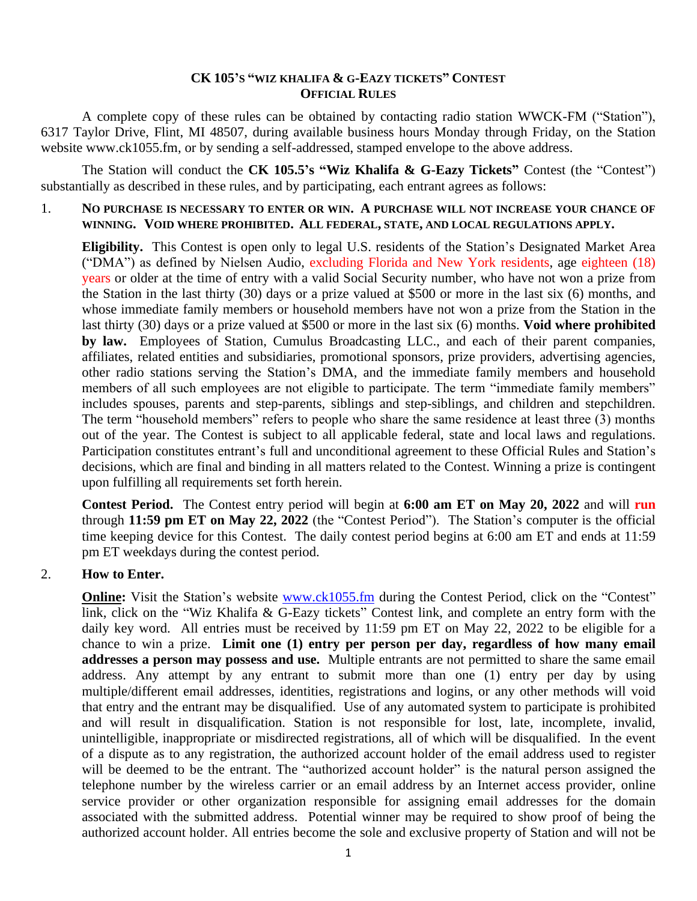## **CK 105'S "WIZ KHALIFA & G-EAZY TICKETS" CONTEST OFFICIAL RULES**

A complete copy of these rules can be obtained by contacting radio station WWCK-FM ("Station"), 6317 Taylor Drive, Flint, MI 48507, during available business hours Monday through Friday, on the Station website www.ck1055.fm, or by sending a self-addressed, stamped envelope to the above address.

The Station will conduct the **CK 105.5's "Wiz Khalifa & G-Eazy Tickets"** Contest (the "Contest") substantially as described in these rules, and by participating, each entrant agrees as follows:

## 1. **NO PURCHASE IS NECESSARY TO ENTER OR WIN. A PURCHASE WILL NOT INCREASE YOUR CHANCE OF WINNING. VOID WHERE PROHIBITED. ALL FEDERAL, STATE, AND LOCAL REGULATIONS APPLY.**

**Eligibility.** This Contest is open only to legal U.S. residents of the Station's Designated Market Area ("DMA") as defined by Nielsen Audio, excluding Florida and New York residents, age eighteen (18) years or older at the time of entry with a valid Social Security number, who have not won a prize from the Station in the last thirty (30) days or a prize valued at \$500 or more in the last six (6) months, and whose immediate family members or household members have not won a prize from the Station in the last thirty (30) days or a prize valued at \$500 or more in the last six (6) months. **Void where prohibited by law.** Employees of Station, Cumulus Broadcasting LLC., and each of their parent companies, affiliates, related entities and subsidiaries, promotional sponsors, prize providers, advertising agencies, other radio stations serving the Station's DMA, and the immediate family members and household members of all such employees are not eligible to participate. The term "immediate family members" includes spouses, parents and step-parents, siblings and step-siblings, and children and stepchildren. The term "household members" refers to people who share the same residence at least three (3) months out of the year. The Contest is subject to all applicable federal, state and local laws and regulations. Participation constitutes entrant's full and unconditional agreement to these Official Rules and Station's decisions, which are final and binding in all matters related to the Contest. Winning a prize is contingent upon fulfilling all requirements set forth herein.

**Contest Period.** The Contest entry period will begin at **6:00 am ET on May 20, 2022** and will **run**  through **11:59 pm ET on May 22, 2022** (the "Contest Period"). The Station's computer is the official time keeping device for this Contest. The daily contest period begins at 6:00 am ET and ends at 11:59 pm ET weekdays during the contest period.

## 2. **How to Enter.**

**Online:** Visit the Station's website [www.ck1055.fm](http://www.ck1055.fm/) during the Contest Period, click on the "Contest" link, click on the "Wiz Khalifa & G-Eazy tickets" Contest link, and complete an entry form with the daily key word. All entries must be received by 11:59 pm ET on May 22, 2022 to be eligible for a chance to win a prize. **Limit one (1) entry per person per day, regardless of how many email addresses a person may possess and use.** Multiple entrants are not permitted to share the same email address. Any attempt by any entrant to submit more than one (1) entry per day by using multiple/different email addresses, identities, registrations and logins, or any other methods will void that entry and the entrant may be disqualified. Use of any automated system to participate is prohibited and will result in disqualification. Station is not responsible for lost, late, incomplete, invalid, unintelligible, inappropriate or misdirected registrations, all of which will be disqualified. In the event of a dispute as to any registration, the authorized account holder of the email address used to register will be deemed to be the entrant. The "authorized account holder" is the natural person assigned the telephone number by the wireless carrier or an email address by an Internet access provider, online service provider or other organization responsible for assigning email addresses for the domain associated with the submitted address. Potential winner may be required to show proof of being the authorized account holder. All entries become the sole and exclusive property of Station and will not be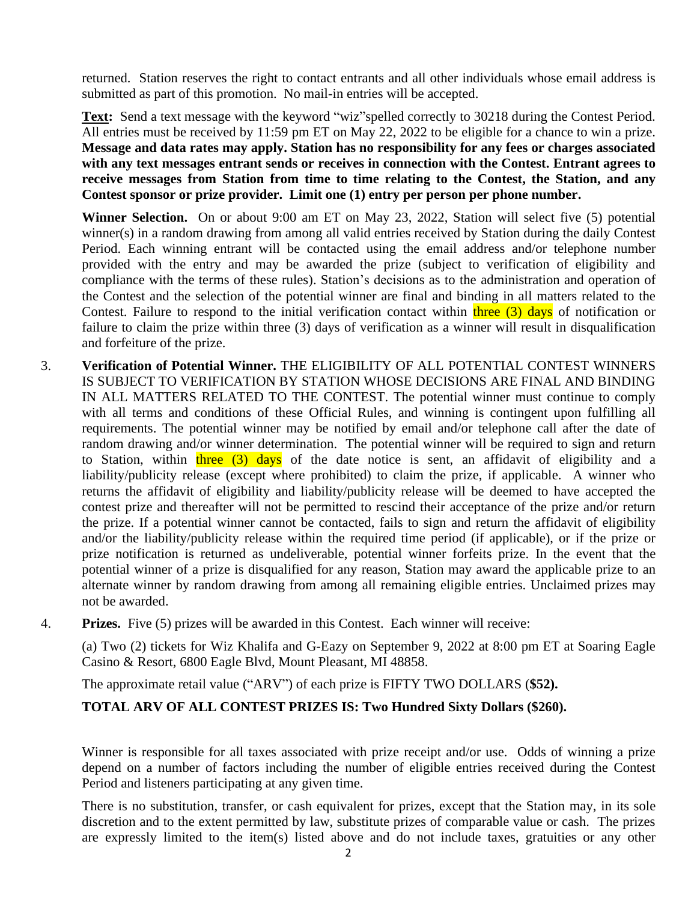returned. Station reserves the right to contact entrants and all other individuals whose email address is submitted as part of this promotion. No mail-in entries will be accepted.

**Text:** Send a text message with the keyword "wiz"spelled correctly to 30218 during the Contest Period. All entries must be received by 11:59 pm ET on May 22, 2022 to be eligible for a chance to win a prize. **Message and data rates may apply. Station has no responsibility for any fees or charges associated with any text messages entrant sends or receives in connection with the Contest. Entrant agrees to receive messages from Station from time to time relating to the Contest, the Station, and any Contest sponsor or prize provider. Limit one (1) entry per person per phone number.**

**Winner Selection.** On or about 9:00 am ET on May 23, 2022, Station will select five (5) potential winner(s) in a random drawing from among all valid entries received by Station during the daily Contest Period. Each winning entrant will be contacted using the email address and/or telephone number provided with the entry and may be awarded the prize (subject to verification of eligibility and compliance with the terms of these rules). Station's decisions as to the administration and operation of the Contest and the selection of the potential winner are final and binding in all matters related to the Contest. Failure to respond to the initial verification contact within  $three (3) days$  of notification or failure to claim the prize within three (3) days of verification as a winner will result in disqualification and forfeiture of the prize.

- 3. **Verification of Potential Winner.** THE ELIGIBILITY OF ALL POTENTIAL CONTEST WINNERS IS SUBJECT TO VERIFICATION BY STATION WHOSE DECISIONS ARE FINAL AND BINDING IN ALL MATTERS RELATED TO THE CONTEST. The potential winner must continue to comply with all terms and conditions of these Official Rules, and winning is contingent upon fulfilling all requirements. The potential winner may be notified by email and/or telephone call after the date of random drawing and/or winner determination. The potential winner will be required to sign and return to Station, within three  $(3)$  days of the date notice is sent, an affidavit of eligibility and a liability/publicity release (except where prohibited) to claim the prize, if applicable. A winner who returns the affidavit of eligibility and liability/publicity release will be deemed to have accepted the contest prize and thereafter will not be permitted to rescind their acceptance of the prize and/or return the prize. If a potential winner cannot be contacted, fails to sign and return the affidavit of eligibility and/or the liability/publicity release within the required time period (if applicable), or if the prize or prize notification is returned as undeliverable, potential winner forfeits prize. In the event that the potential winner of a prize is disqualified for any reason, Station may award the applicable prize to an alternate winner by random drawing from among all remaining eligible entries. Unclaimed prizes may not be awarded.
- 4. **Prizes.** Five (5) prizes will be awarded in this Contest. Each winner will receive:

(a) Two (2) tickets for Wiz Khalifa and G-Eazy on September 9, 2022 at 8:00 pm ET at Soaring Eagle Casino & Resort, 6800 Eagle Blvd, Mount Pleasant, MI 48858.

The approximate retail value ("ARV") of each prize is FIFTY TWO DOLLARS (**\$52).** 

## **TOTAL ARV OF ALL CONTEST PRIZES IS: Two Hundred Sixty Dollars (\$260).**

Winner is responsible for all taxes associated with prize receipt and/or use. Odds of winning a prize depend on a number of factors including the number of eligible entries received during the Contest Period and listeners participating at any given time.

There is no substitution, transfer, or cash equivalent for prizes, except that the Station may, in its sole discretion and to the extent permitted by law, substitute prizes of comparable value or cash. The prizes are expressly limited to the item(s) listed above and do not include taxes, gratuities or any other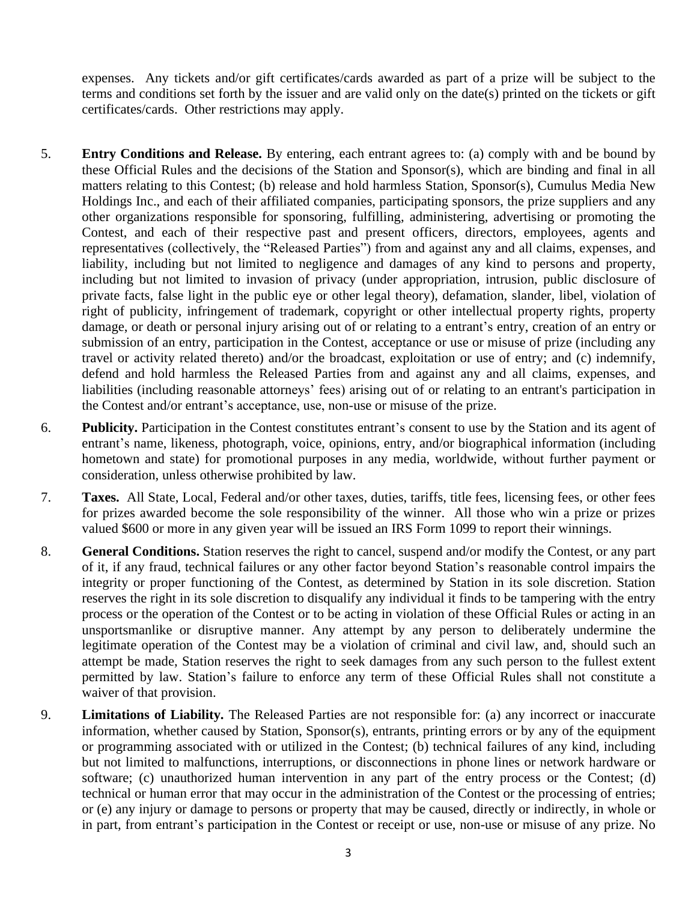expenses. Any tickets and/or gift certificates/cards awarded as part of a prize will be subject to the terms and conditions set forth by the issuer and are valid only on the date(s) printed on the tickets or gift certificates/cards. Other restrictions may apply.

- 5. **Entry Conditions and Release.** By entering, each entrant agrees to: (a) comply with and be bound by these Official Rules and the decisions of the Station and Sponsor(s), which are binding and final in all matters relating to this Contest; (b) release and hold harmless Station, Sponsor(s), Cumulus Media New Holdings Inc., and each of their affiliated companies, participating sponsors, the prize suppliers and any other organizations responsible for sponsoring, fulfilling, administering, advertising or promoting the Contest, and each of their respective past and present officers, directors, employees, agents and representatives (collectively, the "Released Parties") from and against any and all claims, expenses, and liability, including but not limited to negligence and damages of any kind to persons and property, including but not limited to invasion of privacy (under appropriation, intrusion, public disclosure of private facts, false light in the public eye or other legal theory), defamation, slander, libel, violation of right of publicity, infringement of trademark, copyright or other intellectual property rights, property damage, or death or personal injury arising out of or relating to a entrant's entry, creation of an entry or submission of an entry, participation in the Contest, acceptance or use or misuse of prize (including any travel or activity related thereto) and/or the broadcast, exploitation or use of entry; and (c) indemnify, defend and hold harmless the Released Parties from and against any and all claims, expenses, and liabilities (including reasonable attorneys' fees) arising out of or relating to an entrant's participation in the Contest and/or entrant's acceptance, use, non-use or misuse of the prize.
- 6. **Publicity.** Participation in the Contest constitutes entrant's consent to use by the Station and its agent of entrant's name, likeness, photograph, voice, opinions, entry, and/or biographical information (including hometown and state) for promotional purposes in any media, worldwide, without further payment or consideration, unless otherwise prohibited by law.
- 7. **Taxes.** All State, Local, Federal and/or other taxes, duties, tariffs, title fees, licensing fees, or other fees for prizes awarded become the sole responsibility of the winner. All those who win a prize or prizes valued \$600 or more in any given year will be issued an IRS Form 1099 to report their winnings.
- 8. **General Conditions.** Station reserves the right to cancel, suspend and/or modify the Contest, or any part of it, if any fraud, technical failures or any other factor beyond Station's reasonable control impairs the integrity or proper functioning of the Contest, as determined by Station in its sole discretion. Station reserves the right in its sole discretion to disqualify any individual it finds to be tampering with the entry process or the operation of the Contest or to be acting in violation of these Official Rules or acting in an unsportsmanlike or disruptive manner. Any attempt by any person to deliberately undermine the legitimate operation of the Contest may be a violation of criminal and civil law, and, should such an attempt be made, Station reserves the right to seek damages from any such person to the fullest extent permitted by law. Station's failure to enforce any term of these Official Rules shall not constitute a waiver of that provision.
- 9. **Limitations of Liability.** The Released Parties are not responsible for: (a) any incorrect or inaccurate information, whether caused by Station, Sponsor(s), entrants, printing errors or by any of the equipment or programming associated with or utilized in the Contest; (b) technical failures of any kind, including but not limited to malfunctions, interruptions, or disconnections in phone lines or network hardware or software; (c) unauthorized human intervention in any part of the entry process or the Contest; (d) technical or human error that may occur in the administration of the Contest or the processing of entries; or (e) any injury or damage to persons or property that may be caused, directly or indirectly, in whole or in part, from entrant's participation in the Contest or receipt or use, non-use or misuse of any prize. No